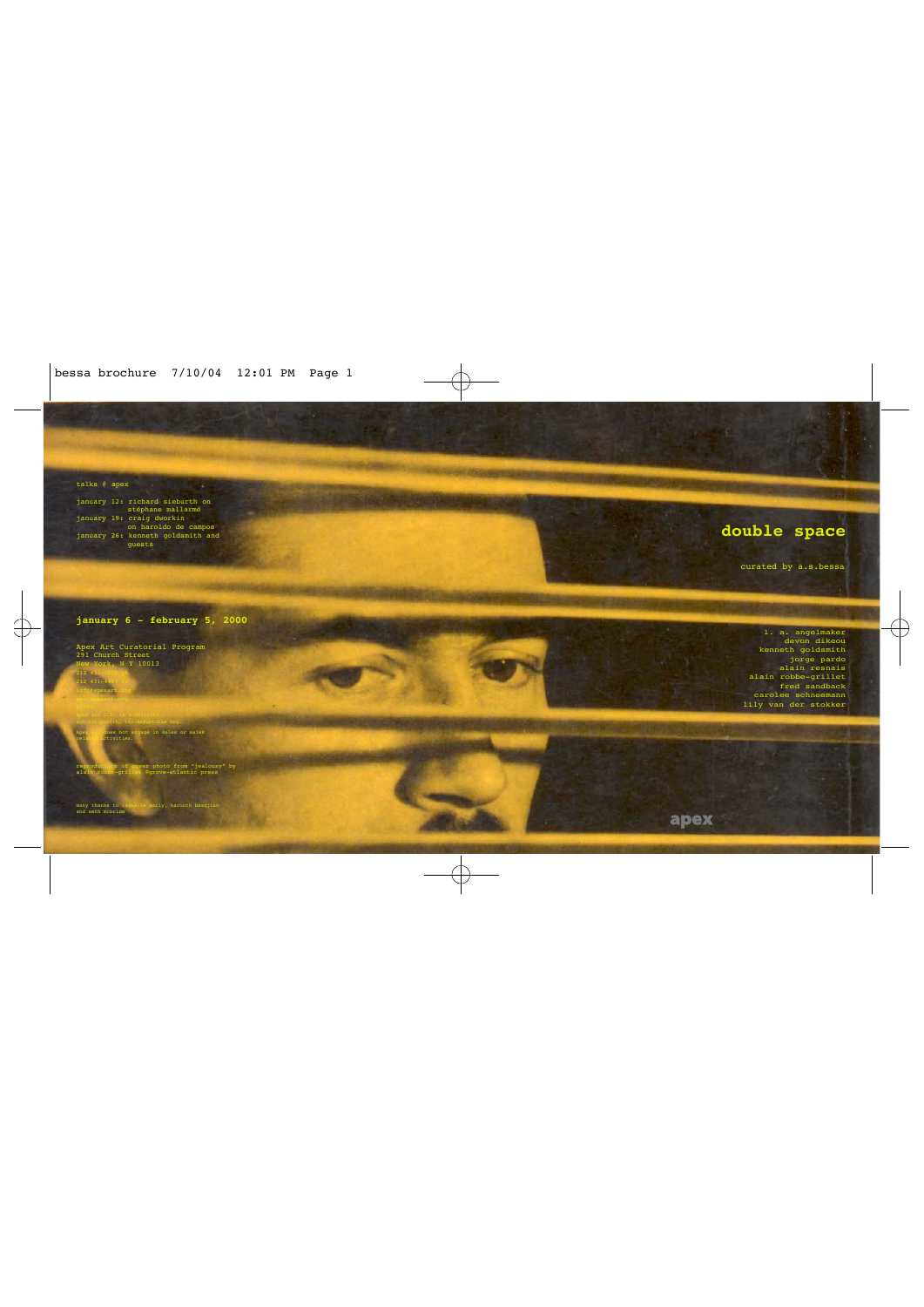talks @ apex

january 12: richard sieburth on stéphane mallarmé january 19: craig dworkin on haroldo de campos january 26: kenneth goldsmith and guests

## **double space**

curated by a.s.bessa

**january 6 - february 5, 2000**

Apex Art Curatorial Program 291 Church Street **EW York, N Y 10013** 212 43 212 431-4447 fx

age in sales or sales related activities.

not-for-profit, tax-deductible org.

reproduction of cover photo from "jealousy" by alain robbe-grillet ©grove-atlantic press

merly, harouth bezdjian

many thanks to is

info@apexart.org www.apexart.org

l. a. angelmaker devon dikeou kenneth goldsmith jorge pardo alain resnais alain robbe-grillet fred sandback carolee schneemann lily van der stokker

apex